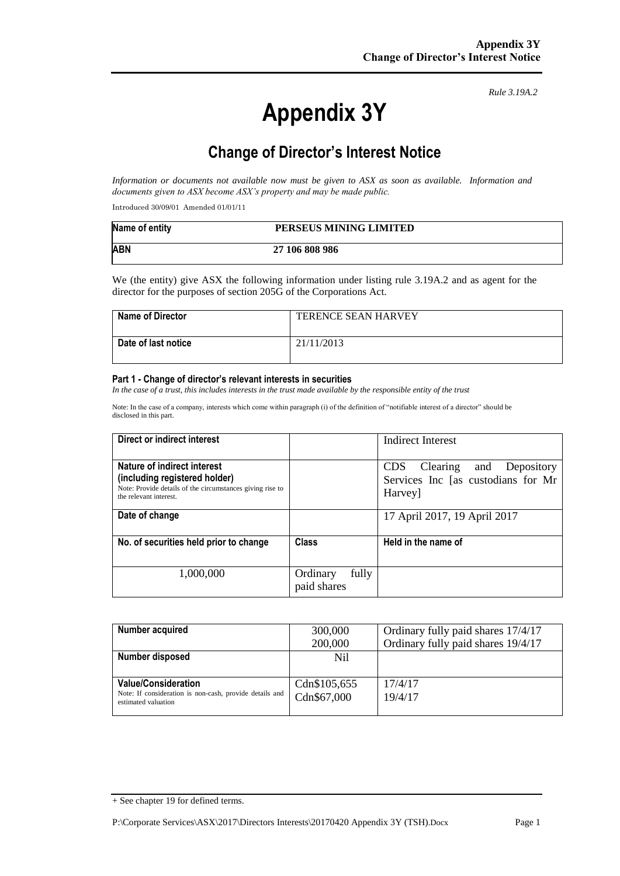# **Appendix 3Y**

*Rule 3.19A.2*

# **Change of Director's Interest Notice**

*Information or documents not available now must be given to ASX as soon as available. Information and documents given to ASX become ASX's property and may be made public.*

Introduced 30/09/01 Amended 01/01/11

| Name of entity | PERSEUS MINING LIMITED |
|----------------|------------------------|
| <b>ABN</b>     | 27 106 808 986         |

We (the entity) give ASX the following information under listing rule 3.19A.2 and as agent for the director for the purposes of section 205G of the Corporations Act.

| <b>Name of Director</b> | <b>TERENCE SEAN HARVEY</b> |
|-------------------------|----------------------------|
| Date of last notice     | 21/11/2013                 |

#### **Part 1 - Change of director's relevant interests in securities**

*In the case of a trust, this includes interests in the trust made available by the responsible entity of the trust*

Note: In the case of a company, interests which come within paragraph (i) of the definition of "notifiable interest of a director" should be disclosed in this part.

| Direct or indirect interest                                                                                                                         |                                  | Indirect Interest                                                                         |
|-----------------------------------------------------------------------------------------------------------------------------------------------------|----------------------------------|-------------------------------------------------------------------------------------------|
| Nature of indirect interest<br>(including registered holder)<br>Note: Provide details of the circumstances giving rise to<br>the relevant interest. |                                  | <b>CDS</b><br>and Depository<br>Clearing<br>Services Inc [as custodians for Mr<br>Harvey] |
| Date of change                                                                                                                                      |                                  | 17 April 2017, 19 April 2017                                                              |
| No. of securities held prior to change                                                                                                              | <b>Class</b>                     | Held in the name of                                                                       |
| 1,000,000                                                                                                                                           | fully<br>Ordinary<br>paid shares |                                                                                           |

| Number acquired                                                                | 300,000      | Ordinary fully paid shares 17/4/17 |
|--------------------------------------------------------------------------------|--------------|------------------------------------|
|                                                                                | 200,000      | Ordinary fully paid shares 19/4/17 |
| Number disposed                                                                | Nil          |                                    |
|                                                                                |              |                                    |
| <b>Value/Consideration</b>                                                     | Cdn\$105,655 | 17/4/17                            |
| Note: If consideration is non-cash, provide details and<br>estimated valuation | Cdn\$67,000  | 19/4/17                            |
|                                                                                |              |                                    |

<sup>+</sup> See chapter 19 for defined terms.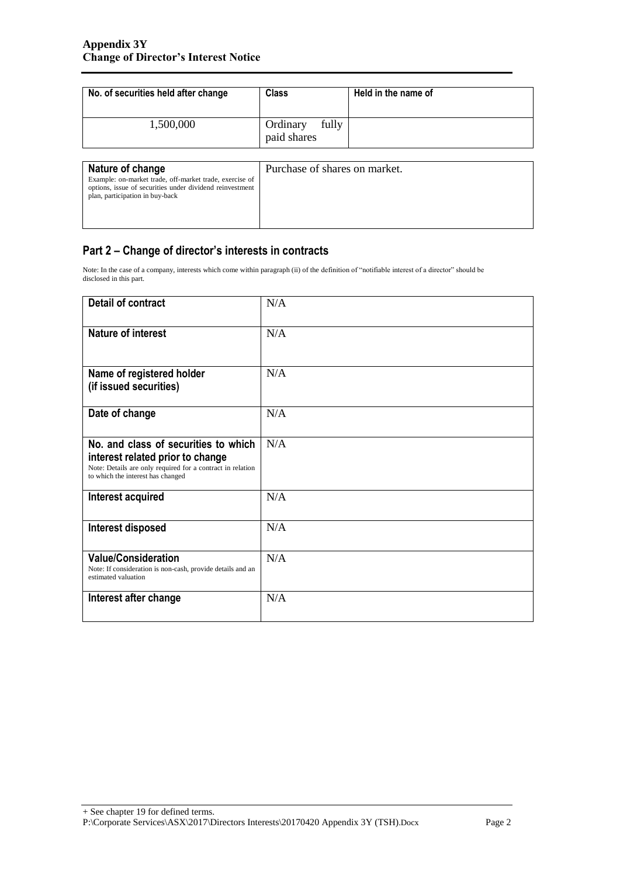| No. of securities held after change                                                                                                                                        | <b>Class</b>                     | Held in the name of |
|----------------------------------------------------------------------------------------------------------------------------------------------------------------------------|----------------------------------|---------------------|
| 1,500,000                                                                                                                                                                  | fully<br>Ordinary<br>paid shares |                     |
| Nature of change<br>Example: on-market trade, off-market trade, exercise of<br>options, issue of securities under dividend reinvestment<br>plan, participation in buy-back | Purchase of shares on market.    |                     |

## **Part 2 – Change of director's interests in contracts**

Note: In the case of a company, interests which come within paragraph (ii) of the definition of "notifiable interest of a director" should be disclosed in this part.

| Detail of contract                                                                                                                                                          | N/A |
|-----------------------------------------------------------------------------------------------------------------------------------------------------------------------------|-----|
| <b>Nature of interest</b>                                                                                                                                                   | N/A |
| Name of registered holder<br>(if issued securities)                                                                                                                         | N/A |
| Date of change                                                                                                                                                              | N/A |
| No. and class of securities to which<br>interest related prior to change<br>Note: Details are only required for a contract in relation<br>to which the interest has changed | N/A |
| Interest acquired                                                                                                                                                           | N/A |
| Interest disposed                                                                                                                                                           | N/A |
| <b>Value/Consideration</b><br>Note: If consideration is non-cash, provide details and an<br>estimated valuation                                                             | N/A |
| Interest after change                                                                                                                                                       | N/A |